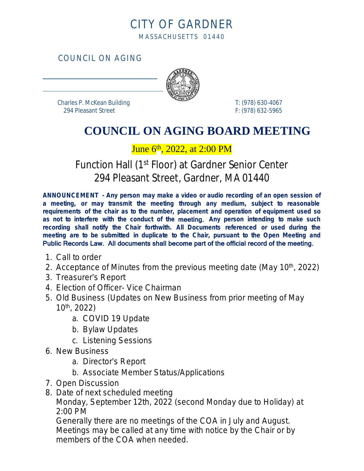### CITY OF GARDNER MASSACHUSETTS 01440

COUNCIL ON AGING



 Charles P. McKean Building T: (978) 630-4067 294 Pleasant Street F: (978) 632-5965

 $\overline{a}$ 

 $\overline{a}$ 

# **COUNCIL ON AGING BOARD MEETING**

#### June 6<sup>th</sup>, 2022, at 2:00 PM

## Function Hall (1<sup>st</sup> Floor) at Gardner Senior Center 294 Pleasant Street, Gardner, MA 01440

**ANNOUNCEMENT - Any person may make a video or audio recording of an open session of a meeting, or may transmit the meeting through any medium, subject to reasonable requirements of the chair as to the number, placement and operation of equipment used so as not to interfere with the conduct of the** meeting. **Any person intending to make such recording shall notify the Chair forthwith. All Documents referenced or used during the meeting are to be submitted in duplicate to the Chair, pursuant to the Open Meeting and** Public Records Law. All documents shall become part of the official record of the meeting.

- 1. Call to order
- 2. Acceptance of Minutes from the previous meeting date (May 10<sup>th</sup>, 2022)
- 3. Treasurer's Report
- 4. Election of Officer- Vice Chairman
- 5. Old Business (Updates on *New Business* from prior meeting of May 10th, 2022)
	- a. COVID 19 Update
	- b. Bylaw Updates
	- c. Listening Sessions
- 6. New Business
	- a. Director's Report
	- b. Associate Member Status/Applications
- 7. Open Discussion
- 8. Date of next scheduled meeting

Monday, September 12th, 2022 (second Monday due to Holiday) at 2:00 PM

Generally there are no meetings of the COA in July and August. Meetings may be called at any time with notice by the Chair or by members of the COA when needed.